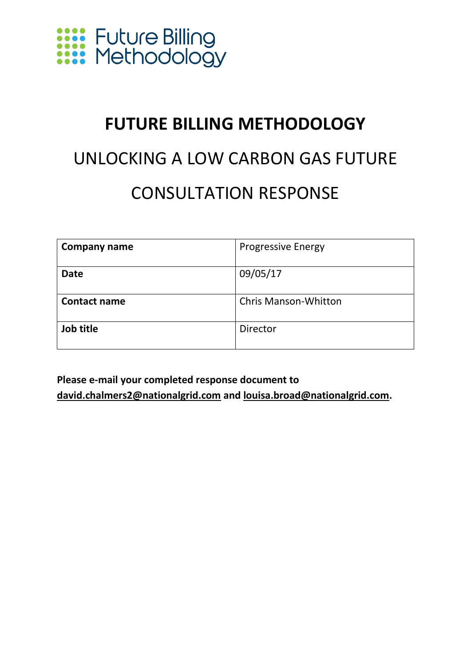

### **FUTURE BILLING METHODOLOGY**

### UNLOCKING A LOW CARBON GAS FUTURE CONSULTATION RESPONSE

| Company name        | <b>Progressive Energy</b>   |
|---------------------|-----------------------------|
| <b>Date</b>         | 09/05/17                    |
| <b>Contact name</b> | <b>Chris Manson-Whitton</b> |
| Job title           | Director                    |

**Please e-mail your completed response document to [david.chalmers2@nationalgrid.com](mailto:david.chalmers2@nationalgrid.com) and [louisa.broad@nationalgrid.com.](mailto:louisa.broad@nationalgrid.com)**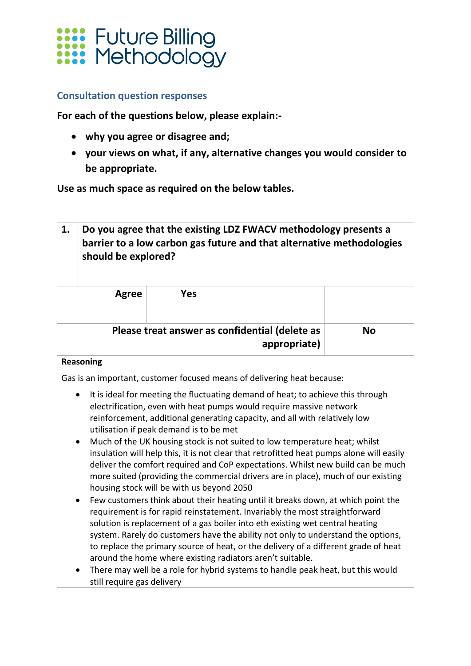

#### **Consultation question responses**

**For each of the questions below, please explain:-**

- **why you agree or disagree and;**
- **your views on what, if any, alternative changes you would consider to be appropriate.**

**Use as much space as required on the below tables.**

| 1.                                                                                                                                                                                                                                                                                                                                                                                                                                                                                                                                                                                                                                                                                                                                                                                                                                                                                                                                                                                                                                                                                                                                                                                                                                                                                                                                                                                         | Do you agree that the existing LDZ FWACV methodology presents a<br>barrier to a low carbon gas future and that alternative methodologies<br>should be explored? |            |                                                                |           |
|--------------------------------------------------------------------------------------------------------------------------------------------------------------------------------------------------------------------------------------------------------------------------------------------------------------------------------------------------------------------------------------------------------------------------------------------------------------------------------------------------------------------------------------------------------------------------------------------------------------------------------------------------------------------------------------------------------------------------------------------------------------------------------------------------------------------------------------------------------------------------------------------------------------------------------------------------------------------------------------------------------------------------------------------------------------------------------------------------------------------------------------------------------------------------------------------------------------------------------------------------------------------------------------------------------------------------------------------------------------------------------------------|-----------------------------------------------------------------------------------------------------------------------------------------------------------------|------------|----------------------------------------------------------------|-----------|
|                                                                                                                                                                                                                                                                                                                                                                                                                                                                                                                                                                                                                                                                                                                                                                                                                                                                                                                                                                                                                                                                                                                                                                                                                                                                                                                                                                                            | <b>Agree</b>                                                                                                                                                    | <b>Yes</b> |                                                                |           |
|                                                                                                                                                                                                                                                                                                                                                                                                                                                                                                                                                                                                                                                                                                                                                                                                                                                                                                                                                                                                                                                                                                                                                                                                                                                                                                                                                                                            |                                                                                                                                                                 |            | Please treat answer as confidential (delete as<br>appropriate) | <b>No</b> |
| <b>Reasoning</b><br>Gas is an important, customer focused means of delivering heat because:<br>It is ideal for meeting the fluctuating demand of heat; to achieve this through<br>electrification, even with heat pumps would require massive network<br>reinforcement, additional generating capacity, and all with relatively low<br>utilisation if peak demand is to be met<br>Much of the UK housing stock is not suited to low temperature heat; whilst<br>insulation will help this, it is not clear that retrofitted heat pumps alone will easily<br>deliver the comfort required and CoP expectations. Whilst new build can be much<br>more suited (providing the commercial drivers are in place), much of our existing<br>housing stock will be with us beyond 2050<br>Few customers think about their heating until it breaks down, at which point the<br>requirement is for rapid reinstatement. Invariably the most straightforward<br>solution is replacement of a gas boiler into eth existing wet central heating<br>system. Rarely do customers have the ability not only to understand the options,<br>to replace the primary source of heat, or the delivery of a different grade of heat<br>around the home where existing radiators aren't suitable.<br>There may well be a role for hybrid systems to handle peak heat, but this would<br>still require gas delivery |                                                                                                                                                                 |            |                                                                |           |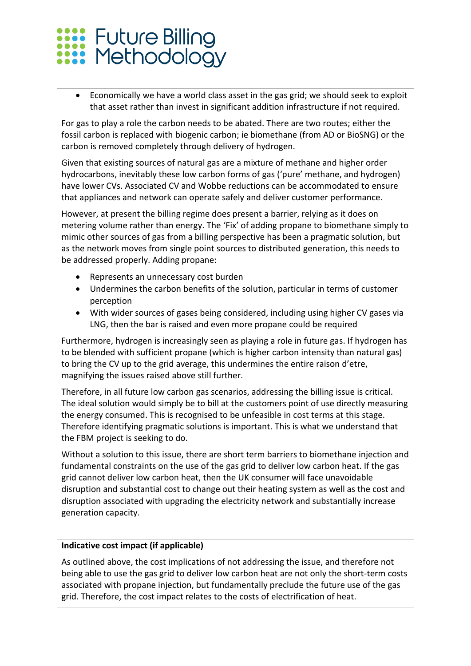# **Exist** Future Billing<br>**Exist** Methodology

• Economically we have a world class asset in the gas grid; we should seek to exploit that asset rather than invest in significant addition infrastructure if not required.

For gas to play a role the carbon needs to be abated. There are two routes; either the fossil carbon is replaced with biogenic carbon; ie biomethane (from AD or BioSNG) or the carbon is removed completely through delivery of hydrogen.

Given that existing sources of natural gas are a mixture of methane and higher order hydrocarbons, inevitably these low carbon forms of gas ('pure' methane, and hydrogen) have lower CVs. Associated CV and Wobbe reductions can be accommodated to ensure that appliances and network can operate safely and deliver customer performance.

However, at present the billing regime does present a barrier, relying as it does on metering volume rather than energy. The 'Fix' of adding propane to biomethane simply to mimic other sources of gas from a billing perspective has been a pragmatic solution, but as the network moves from single point sources to distributed generation, this needs to be addressed properly. Adding propane:

- Represents an unnecessary cost burden
- Undermines the carbon benefits of the solution, particular in terms of customer perception
- With wider sources of gases being considered, including using higher CV gases via LNG, then the bar is raised and even more propane could be required

Furthermore, hydrogen is increasingly seen as playing a role in future gas. If hydrogen has to be blended with sufficient propane (which is higher carbon intensity than natural gas) to bring the CV up to the grid average, this undermines the entire raison d'etre, magnifying the issues raised above still further.

Therefore, in all future low carbon gas scenarios, addressing the billing issue is critical. The ideal solution would simply be to bill at the customers point of use directly measuring the energy consumed. This is recognised to be unfeasible in cost terms at this stage. Therefore identifying pragmatic solutions is important. This is what we understand that the FBM project is seeking to do.

Without a solution to this issue, there are short term barriers to biomethane injection and fundamental constraints on the use of the gas grid to deliver low carbon heat. If the gas grid cannot deliver low carbon heat, then the UK consumer will face unavoidable disruption and substantial cost to change out their heating system as well as the cost and disruption associated with upgrading the electricity network and substantially increase generation capacity.

#### **Indicative cost impact (if applicable)**

As outlined above, the cost implications of not addressing the issue, and therefore not being able to use the gas grid to deliver low carbon heat are not only the short-term costs associated with propane injection, but fundamentally preclude the future use of the gas grid. Therefore, the cost impact relates to the costs of electrification of heat.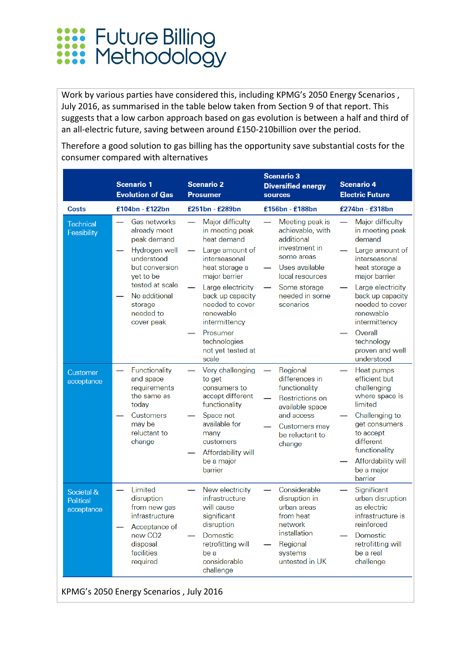

Work by various parties have considered this, including KPMG's 2050 Energy Scenarios , July 2016, as summarised in the table below taken from Section 9 of that report. This suggests that a low carbon approach based on gas evolution is between a half and third of an all-electric future, saving between around £150-210billion over the period.

Therefore a good solution to gas billing has the opportunity save substantial costs for the consumer compared with alternatives

|                                                    | <b>Scenario 1</b><br><b>Evolution of Gas</b>                                                                                                                                                                                                              | <b>Scenario 2</b><br><b>Prosumer</b>                                                                                                                                                                                                                                                                                                                             | <b>Scenario 3</b><br><b>Diversified energy</b><br>sources                                                                                                                                                                                                 | <b>Scenario 4</b><br><b>Electric Future</b>                                                                                                                                                                                                                                                                                                         |
|----------------------------------------------------|-----------------------------------------------------------------------------------------------------------------------------------------------------------------------------------------------------------------------------------------------------------|------------------------------------------------------------------------------------------------------------------------------------------------------------------------------------------------------------------------------------------------------------------------------------------------------------------------------------------------------------------|-----------------------------------------------------------------------------------------------------------------------------------------------------------------------------------------------------------------------------------------------------------|-----------------------------------------------------------------------------------------------------------------------------------------------------------------------------------------------------------------------------------------------------------------------------------------------------------------------------------------------------|
| <b>Costs</b>                                       | £104bn - £122bn                                                                                                                                                                                                                                           | £251bn - £289bn                                                                                                                                                                                                                                                                                                                                                  | £156bn - £188bn                                                                                                                                                                                                                                           | £274bn - £318bn                                                                                                                                                                                                                                                                                                                                     |
| Technical<br>Feasibility<br>Customer<br>acceptance | Gas networks<br>already meet<br>peak demand<br>Hydrogen well<br>understood<br>but conversion<br>yet to be<br>tested at scale<br>No additional<br>storage<br>needed to<br>cover peak<br>Functionality<br>and space<br>requirements<br>the same as<br>today | Major difficulty<br>in meeting peak<br>heat demand<br>Large amount of<br>interseasonal<br>heat storage a<br>major barrier<br>Large electricity<br>back up capacity<br>needed to cover<br>renewable<br>intermittency<br>Prosumer<br>technologies<br>not yet tested at<br>scale<br>Very challenging<br>to get<br>consumers to<br>accept different<br>functionality | Meeting peak is<br>achievable, with<br>additional<br>investment in<br>some areas<br>Uses available<br>local resources<br>Some storage<br>needed in some<br>scenarios<br>Regional<br>differences in<br>functionality<br>Restrictions on<br>available space | Major difficulty<br>in meeting peak<br>demand<br>Large amount of<br>interseasonal<br>heat storage a<br>major barrier<br>Large electricity<br>back up capacity<br>needed to cover<br>renewable<br>intermittency<br>Overall<br>technology<br>proven and well<br>understood<br>Heat pumps<br>efficient but<br>challenging<br>where space is<br>limited |
|                                                    | Customers<br>may be<br>reluctant to<br>change                                                                                                                                                                                                             | Space not<br>available for<br>many<br>customers<br>Affordability will<br>be a major<br>barrier                                                                                                                                                                                                                                                                   | and access<br>Customers may<br>be reluctant to<br>change                                                                                                                                                                                                  | Challenging to<br>get consumers<br>to accept<br>different<br>functionality<br>Affordability will<br>be a major<br>barrier                                                                                                                                                                                                                           |
| Societal &<br><b>Political</b><br>acceptance       | Limited<br>disruption<br>from new gas<br>infrastructure<br>Acceptance of<br>new CO <sub>2</sub><br>disposal<br>facilities<br>required                                                                                                                     | New electricity<br>infrastructure<br>will cause<br>significant<br>disruption<br>Domestic<br>retrofitting will<br>be a<br>considerable<br>challenge                                                                                                                                                                                                               | Considerable<br>disruption in<br>urban areas<br>from heat<br>network<br>installation<br>Regional<br>systems<br>untested in UK                                                                                                                             | Significant<br>urban disruption<br>as electric<br>infrastructure is<br>reinforced<br>Domestic<br>retrofitting will<br>be a real<br>challenge                                                                                                                                                                                                        |

KPMG's 2050 Energy Scenarios , July 2016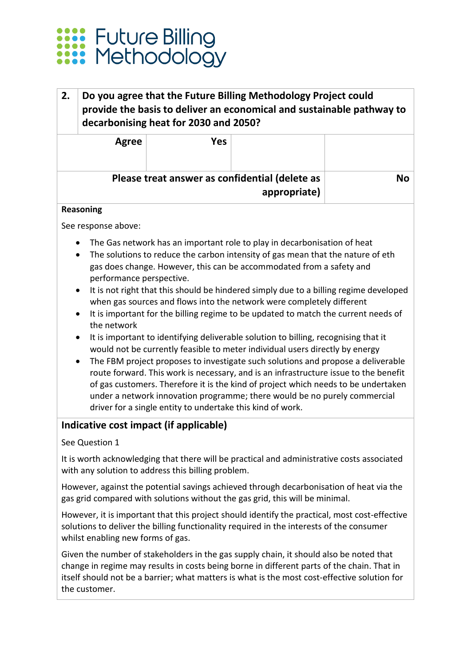

#### **2. Do you agree that the Future Billing Methodology Project could provide the basis to deliver an economical and sustainable pathway to decarbonising heat for 2030 and 2050?**

|    |                                                                | <b>Yes</b> | Agree |  |
|----|----------------------------------------------------------------|------------|-------|--|
| Nο | Please treat answer as confidential (delete as<br>appropriate) |            |       |  |

#### **Reasoning**

See response above:

- The Gas network has an important role to play in decarbonisation of heat
- The solutions to reduce the carbon intensity of gas mean that the nature of eth gas does change. However, this can be accommodated from a safety and performance perspective.
- It is not right that this should be hindered simply due to a billing regime developed when gas sources and flows into the network were completely different
- It is important for the billing regime to be updated to match the current needs of the network
- It is important to identifying deliverable solution to billing, recognising that it would not be currently feasible to meter individual users directly by energy
- The FBM project proposes to investigate such solutions and propose a deliverable route forward. This work is necessary, and is an infrastructure issue to the benefit of gas customers. Therefore it is the kind of project which needs to be undertaken under a network innovation programme; there would be no purely commercial driver for a single entity to undertake this kind of work.

#### **Indicative cost impact (if applicable)**

#### See Question 1

It is worth acknowledging that there will be practical and administrative costs associated with any solution to address this billing problem.

However, against the potential savings achieved through decarbonisation of heat via the gas grid compared with solutions without the gas grid, this will be minimal.

However, it is important that this project should identify the practical, most cost-effective solutions to deliver the billing functionality required in the interests of the consumer whilst enabling new forms of gas.

Given the number of stakeholders in the gas supply chain, it should also be noted that change in regime may results in costs being borne in different parts of the chain. That in itself should not be a barrier; what matters is what is the most cost-effective solution for the customer.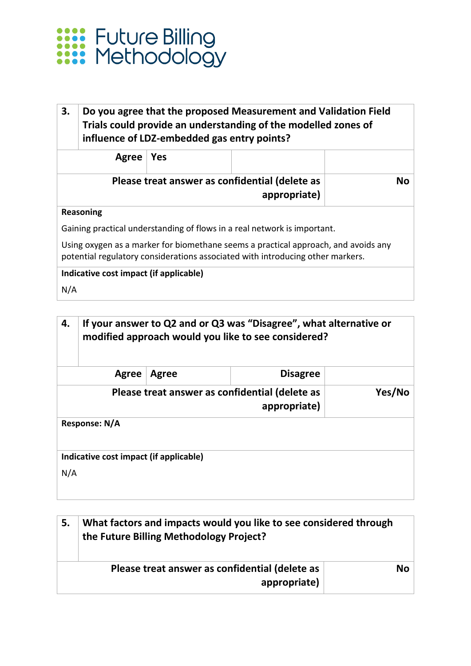

#### **3. Do you agree that the proposed Measurement and Validation Field Trials could provide an understanding of the modelled zones of influence of LDZ-embedded gas entry points?**

| Agree   Yes |                                                                |    |
|-------------|----------------------------------------------------------------|----|
|             | Please treat answer as confidential (delete as<br>appropriate) | Nο |

#### **Reasoning**

Gaining practical understanding of flows in a real network is important.

Using oxygen as a marker for biomethane seems a practical approach, and avoids any potential regulatory considerations associated with introducing other markers.

#### **Indicative cost impact (if applicable)**

N/A

| 4.  | If your answer to Q2 and or Q3 was "Disagree", what alternative or<br>modified approach would you like to see considered? |              |                 |  |
|-----|---------------------------------------------------------------------------------------------------------------------------|--------------|-----------------|--|
|     | Agree                                                                                                                     | <b>Agree</b> | <b>Disagree</b> |  |
|     | Please treat answer as confidential (delete as<br>Yes/No<br>appropriate)                                                  |              |                 |  |
|     | Response: N/A                                                                                                             |              |                 |  |
|     | Indicative cost impact (if applicable)                                                                                    |              |                 |  |
| N/A |                                                                                                                           |              |                 |  |

| 5. | What factors and impacts would you like to see considered through<br>the Future Billing Methodology Project? |           |
|----|--------------------------------------------------------------------------------------------------------------|-----------|
|    | Please treat answer as confidential (delete as<br>appropriate)                                               | <b>No</b> |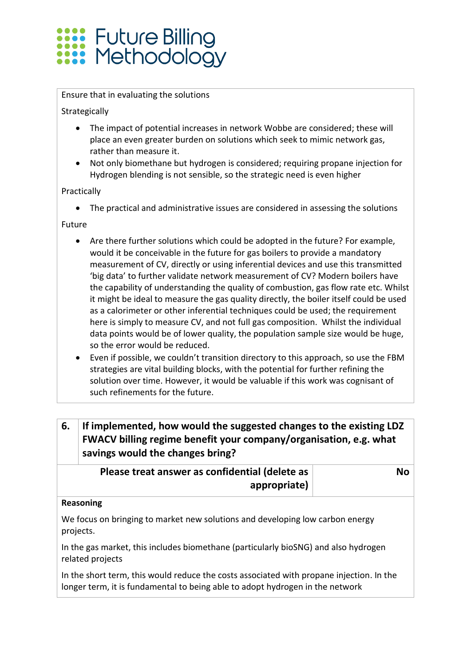## **XXXX** Future Billing<br>XXXX Methodology

#### Ensure that in evaluating the solutions

Strategically

- The impact of potential increases in network Wobbe are considered; these will place an even greater burden on solutions which seek to mimic network gas, rather than measure it.
- Not only biomethane but hydrogen is considered; requiring propane injection for Hydrogen blending is not sensible, so the strategic need is even higher

Practically

• The practical and administrative issues are considered in assessing the solutions

Future

- Are there further solutions which could be adopted in the future? For example, would it be conceivable in the future for gas boilers to provide a mandatory measurement of CV, directly or using inferential devices and use this transmitted 'big data' to further validate network measurement of CV? Modern boilers have the capability of understanding the quality of combustion, gas flow rate etc. Whilst it might be ideal to measure the gas quality directly, the boiler itself could be used as a calorimeter or other inferential techniques could be used; the requirement here is simply to measure CV, and not full gas composition. Whilst the individual data points would be of lower quality, the population sample size would be huge, so the error would be reduced.
- Even if possible, we couldn't transition directory to this approach, so use the FBM strategies are vital building blocks, with the potential for further refining the solution over time. However, it would be valuable if this work was cognisant of such refinements for the future.

#### **6. If implemented, how would the suggested changes to the existing LDZ FWACV billing regime benefit your company/organisation, e.g. what savings would the changes bring?**

| Please treat answer as confidential (delete as | No |
|------------------------------------------------|----|
| appropriate)                                   |    |

#### **Reasoning**

We focus on bringing to market new solutions and developing low carbon energy projects.

In the gas market, this includes biomethane (particularly bioSNG) and also hydrogen related projects

In the short term, this would reduce the costs associated with propane injection. In the longer term, it is fundamental to being able to adopt hydrogen in the network